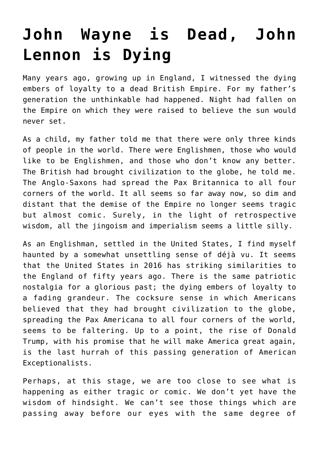## **[John Wayne is Dead, John](https://intellectualtakeout.org/2016/04/john-wayne-is-dead-john-lennon-is-dying/) [Lennon is Dying](https://intellectualtakeout.org/2016/04/john-wayne-is-dead-john-lennon-is-dying/)**

Many years ago, growing up in England, I witnessed the dying embers of loyalty to a dead British Empire. For my father's generation the unthinkable had happened. Night had fallen on the Empire on which they were raised to believe the sun would never set.

As a child, my father told me that there were only three kinds of people in the world. There were Englishmen, those who would like to be Englishmen, and those who don't know any better. The British had brought civilization to the globe, he told me. The Anglo-Saxons had spread the Pax Britannica to all four corners of the world. It all seems so far away now, so dim and distant that the demise of the Empire no longer seems tragic but almost comic. Surely, in the light of retrospective wisdom, all the jingoism and imperialism seems a little silly.

As an Englishman, settled in the United States, I find myself haunted by a somewhat unsettling sense of déjà vu. It seems that the United States in 2016 has striking similarities to the England of fifty years ago. There is the same patriotic nostalgia for a glorious past; the dying embers of loyalty to a fading grandeur. The cocksure sense in which Americans believed that they had brought civilization to the globe, spreading the Pax Americana to all four corners of the world, seems to be faltering. Up to a point, the rise of Donald Trump, with his promise that he will make America great again, is the last hurrah of this passing generation of American Exceptionalists.

Perhaps, at this stage, we are too close to see what is happening as either tragic or comic. We don't yet have the wisdom of hindsight. We can't see those things which are passing away before our eyes with the same degree of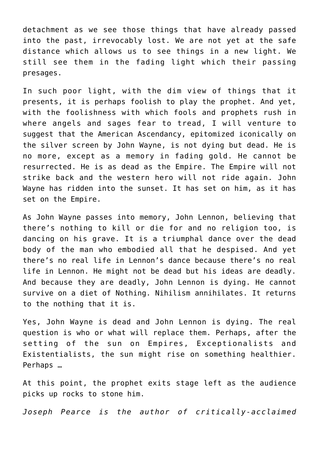detachment as we see those things that have already passed into the past, irrevocably lost. We are not yet at the safe distance which allows us to see things in a new light. We still see them in the fading light which their passing presages.

In such poor light, with the dim view of things that it presents, it is perhaps foolish to play the prophet. And yet, with the foolishness with which fools and prophets rush in where angels and sages fear to tread, I will venture to suggest that the American Ascendancy, epitomized iconically on the silver screen by John Wayne, is not dying but dead. He is no more, except as a memory in fading gold. He cannot be resurrected. He is as dead as the Empire. The Empire will not strike back and the western hero will not ride again. John Wayne has ridden into the sunset. It has set on him, as it has set on the Empire.

As John Wayne passes into memory, John Lennon, believing that there's nothing to kill or die for and no religion too, is dancing on his grave. It is a triumphal dance over the dead body of the man who embodied all that he despised. And yet there's no real life in Lennon's dance because there's no real life in Lennon. He might not be dead but his ideas are deadly. And because they are deadly, John Lennon is dying. He cannot survive on a diet of Nothing. Nihilism annihilates. It returns to the nothing that it is.

Yes, John Wayne is dead and John Lennon is dying. The real question is who or what will replace them. Perhaps, after the setting of the sun on Empires, Exceptionalists and Existentialists, the sun might rise on something healthier. Perhaps …

At this point, the prophet exits stage left as the audience picks up rocks to stone him.

*Joseph Pearce is the author of critically-acclaimed*